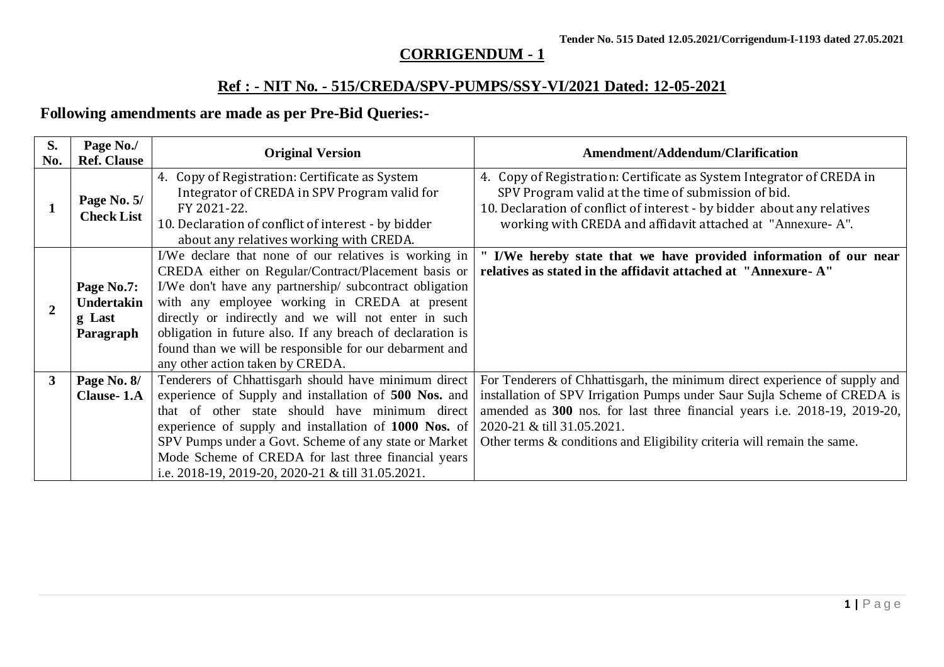# **CORRIGENDUM - 1**

# **Ref : - NIT No. - 515/CREDA/SPV-PUMPS/SSY-VI/2021 Dated: 12-05-2021**

# **Following amendments are made as per Pre-Bid Queries:-**

| S.<br>No.    | Page No./<br><b>Ref. Clause</b>                 | <b>Original Version</b>                                                                                                                                                                                                                                                                                                                                                                                                                       | <b>Amendment/Addendum/Clarification</b>                                                                                                                                                                                                                                                                                                      |
|--------------|-------------------------------------------------|-----------------------------------------------------------------------------------------------------------------------------------------------------------------------------------------------------------------------------------------------------------------------------------------------------------------------------------------------------------------------------------------------------------------------------------------------|----------------------------------------------------------------------------------------------------------------------------------------------------------------------------------------------------------------------------------------------------------------------------------------------------------------------------------------------|
|              | Page No. 5/<br><b>Check List</b>                | 4. Copy of Registration: Certificate as System<br>Integrator of CREDA in SPV Program valid for<br>FY 2021-22.<br>10. Declaration of conflict of interest - by bidder<br>about any relatives working with CREDA.                                                                                                                                                                                                                               | 4. Copy of Registration: Certificate as System Integrator of CREDA in<br>SPV Program valid at the time of submission of bid.<br>10. Declaration of conflict of interest - by bidder about any relatives<br>working with CREDA and affidavit attached at "Annexure-A".                                                                        |
| $\mathbf{2}$ | Page No.7:<br>Undertakin<br>g Last<br>Paragraph | I/We declare that none of our relatives is working in<br>CREDA either on Regular/Contract/Placement basis or<br>I/We don't have any partnership/ subcontract obligation<br>with any employee working in CREDA at present<br>directly or indirectly and we will not enter in such<br>obligation in future also. If any breach of declaration is<br>found than we will be responsible for our debarment and<br>any other action taken by CREDA. | " I/We hereby state that we have provided information of our near<br>relatives as stated in the affidavit attached at "Annexure-A"                                                                                                                                                                                                           |
| $\mathbf{3}$ | Page No. 8/<br><b>Clause-1.A</b>                | Tenderers of Chhattisgarh should have minimum direct<br>experience of Supply and installation of 500 Nos. and<br>that of other state should have minimum direct<br>experience of supply and installation of 1000 Nos. of<br>SPV Pumps under a Govt. Scheme of any state or Market<br>Mode Scheme of CREDA for last three financial years<br>i.e. 2018-19, 2019-20, 2020-21 & till 31.05.2021.                                                 | For Tenderers of Chhattisgarh, the minimum direct experience of supply and<br>installation of SPV Irrigation Pumps under Saur Sujla Scheme of CREDA is<br>amended as 300 nos. for last three financial years i.e. 2018-19, 2019-20,<br>2020-21 & till 31.05.2021.<br>Other terms & conditions and Eligibility criteria will remain the same. |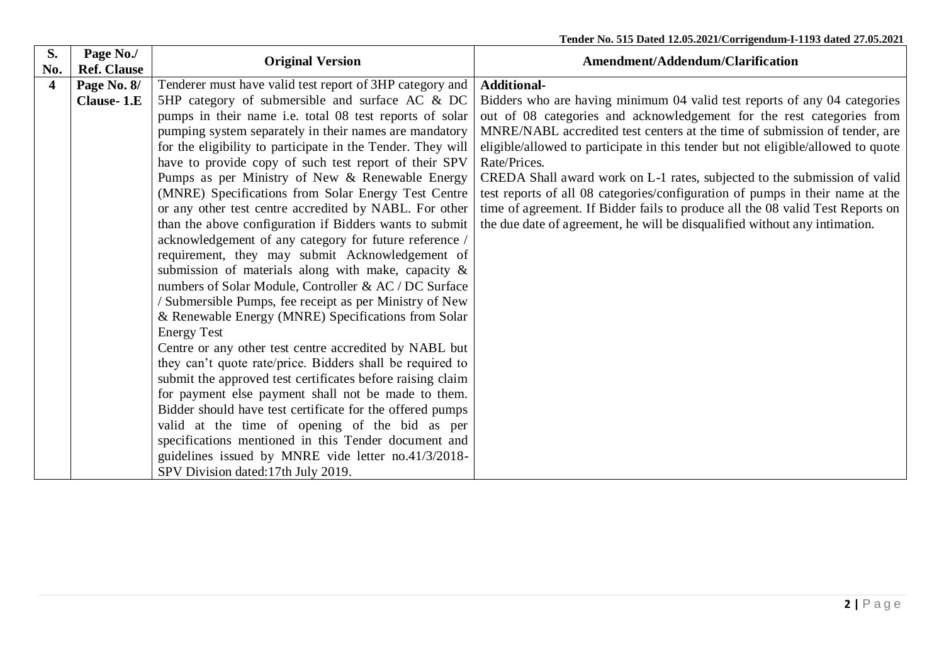| S.<br>No.        | Page No./<br><b>Ref. Clause</b>  | <b>Original Version</b>                                                                                                                                                                                                                                                                                                                                                                                                                                                                                                                                                                                                                                                                                                                                                                                                 | Amendment/Addendum/Clarification                                                                                                                                                                                                                                                                                                                                                                                                                                                                                                                                                                                                                                                         |
|------------------|----------------------------------|-------------------------------------------------------------------------------------------------------------------------------------------------------------------------------------------------------------------------------------------------------------------------------------------------------------------------------------------------------------------------------------------------------------------------------------------------------------------------------------------------------------------------------------------------------------------------------------------------------------------------------------------------------------------------------------------------------------------------------------------------------------------------------------------------------------------------|------------------------------------------------------------------------------------------------------------------------------------------------------------------------------------------------------------------------------------------------------------------------------------------------------------------------------------------------------------------------------------------------------------------------------------------------------------------------------------------------------------------------------------------------------------------------------------------------------------------------------------------------------------------------------------------|
| $\boldsymbol{4}$ |                                  |                                                                                                                                                                                                                                                                                                                                                                                                                                                                                                                                                                                                                                                                                                                                                                                                                         |                                                                                                                                                                                                                                                                                                                                                                                                                                                                                                                                                                                                                                                                                          |
|                  | Page No. 8/<br><b>Clause-1.E</b> | Tenderer must have valid test report of 3HP category and<br>5HP category of submersible and surface AC & DC<br>pumps in their name i.e. total 08 test reports of solar<br>pumping system separately in their names are mandatory<br>for the eligibility to participate in the Tender. They will<br>have to provide copy of such test report of their SPV<br>Pumps as per Ministry of New & Renewable Energy<br>(MNRE) Specifications from Solar Energy Test Centre<br>or any other test centre accredited by NABL. For other<br>than the above configuration if Bidders wants to submit<br>acknowledgement of any category for future reference /<br>requirement, they may submit Acknowledgement of<br>submission of materials along with make, capacity $\&$<br>numbers of Solar Module, Controller & AC / DC Surface | <b>Additional-</b><br>Bidders who are having minimum 04 valid test reports of any 04 categories<br>out of 08 categories and acknowledgement for the rest categories from<br>MNRE/NABL accredited test centers at the time of submission of tender, are<br>eligible/allowed to participate in this tender but not eligible/allowed to quote<br>Rate/Prices.<br>CREDA Shall award work on L-1 rates, subjected to the submission of valid<br>test reports of all 08 categories/configuration of pumps in their name at the<br>time of agreement. If Bidder fails to produce all the 08 valid Test Reports on<br>the due date of agreement, he will be disqualified without any intimation. |
|                  |                                  | Submersible Pumps, fee receipt as per Ministry of New<br>& Renewable Energy (MNRE) Specifications from Solar<br><b>Energy Test</b><br>Centre or any other test centre accredited by NABL but<br>they can't quote rate/price. Bidders shall be required to<br>submit the approved test certificates before raising claim<br>for payment else payment shall not be made to them.<br>Bidder should have test certificate for the offered pumps<br>valid at the time of opening of the bid as per<br>specifications mentioned in this Tender document and<br>guidelines issued by MNRE vide letter no.41/3/2018-<br>SPV Division dated:17th July 2019.                                                                                                                                                                      |                                                                                                                                                                                                                                                                                                                                                                                                                                                                                                                                                                                                                                                                                          |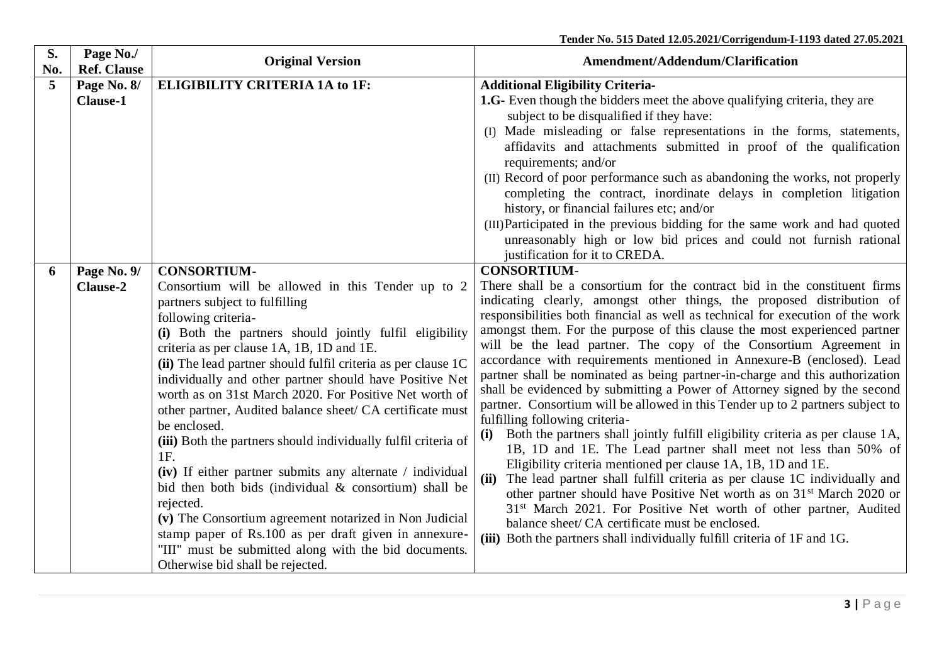| S.<br>No. | Page No./<br><b>Ref. Clause</b> | <b>Original Version</b>                                                                                                                                                                                                                                                                                                                                                                                                                                                                                                                                                                                                                                                                                                                                                                                                                                                                                              | Amendment/Addendum/Clarification                                                                                                                                                                                                                                                                                                                                                                                                                                                                                                                                                                                                                                                                                                                                                                                                                                                                                                                                                                                                                                                                                                                                                                                                                                                                                                                                      |
|-----------|---------------------------------|----------------------------------------------------------------------------------------------------------------------------------------------------------------------------------------------------------------------------------------------------------------------------------------------------------------------------------------------------------------------------------------------------------------------------------------------------------------------------------------------------------------------------------------------------------------------------------------------------------------------------------------------------------------------------------------------------------------------------------------------------------------------------------------------------------------------------------------------------------------------------------------------------------------------|-----------------------------------------------------------------------------------------------------------------------------------------------------------------------------------------------------------------------------------------------------------------------------------------------------------------------------------------------------------------------------------------------------------------------------------------------------------------------------------------------------------------------------------------------------------------------------------------------------------------------------------------------------------------------------------------------------------------------------------------------------------------------------------------------------------------------------------------------------------------------------------------------------------------------------------------------------------------------------------------------------------------------------------------------------------------------------------------------------------------------------------------------------------------------------------------------------------------------------------------------------------------------------------------------------------------------------------------------------------------------|
| 5         | Page No. 8/                     | <b>ELIGIBILITY CRITERIA 1A to 1F:</b>                                                                                                                                                                                                                                                                                                                                                                                                                                                                                                                                                                                                                                                                                                                                                                                                                                                                                | <b>Additional Eligibility Criteria-</b>                                                                                                                                                                                                                                                                                                                                                                                                                                                                                                                                                                                                                                                                                                                                                                                                                                                                                                                                                                                                                                                                                                                                                                                                                                                                                                                               |
|           | <b>Clause-1</b>                 |                                                                                                                                                                                                                                                                                                                                                                                                                                                                                                                                                                                                                                                                                                                                                                                                                                                                                                                      | 1.G- Even though the bidders meet the above qualifying criteria, they are<br>subject to be disqualified if they have:<br>(I) Made misleading or false representations in the forms, statements,<br>affidavits and attachments submitted in proof of the qualification<br>requirements; and/or<br>(II) Record of poor performance such as abandoning the works, not properly<br>completing the contract, inordinate delays in completion litigation<br>history, or financial failures etc; and/or<br>(III) Participated in the previous bidding for the same work and had quoted<br>unreasonably high or low bid prices and could not furnish rational<br>justification for it to CREDA.                                                                                                                                                                                                                                                                                                                                                                                                                                                                                                                                                                                                                                                                               |
| 6         | Page No. 9/                     | <b>CONSORTIUM-</b>                                                                                                                                                                                                                                                                                                                                                                                                                                                                                                                                                                                                                                                                                                                                                                                                                                                                                                   | <b>CONSORTIUM-</b>                                                                                                                                                                                                                                                                                                                                                                                                                                                                                                                                                                                                                                                                                                                                                                                                                                                                                                                                                                                                                                                                                                                                                                                                                                                                                                                                                    |
|           | <b>Clause-2</b>                 | Consortium will be allowed in this Tender up to 2<br>partners subject to fulfilling<br>following criteria-<br>(i) Both the partners should jointly fulfil eligibility<br>criteria as per clause 1A, 1B, 1D and 1E.<br>(ii) The lead partner should fulfil criteria as per clause 1C<br>individually and other partner should have Positive Net<br>worth as on 31st March 2020. For Positive Net worth of<br>other partner, Audited balance sheet/ CA certificate must<br>be enclosed.<br>(iii) Both the partners should individually fulfil criteria of<br>1F.<br>(iv) If either partner submits any alternate / individual<br>bid then both bids (individual $\&$ consortium) shall be<br>rejected.<br>(v) The Consortium agreement notarized in Non Judicial<br>stamp paper of Rs.100 as per draft given in annexure-<br>"III" must be submitted along with the bid documents.<br>Otherwise bid shall be rejected. | There shall be a consortium for the contract bid in the constituent firms<br>indicating clearly, amongst other things, the proposed distribution of<br>responsibilities both financial as well as technical for execution of the work<br>amongst them. For the purpose of this clause the most experienced partner<br>will be the lead partner. The copy of the Consortium Agreement in<br>accordance with requirements mentioned in Annexure-B (enclosed). Lead<br>partner shall be nominated as being partner-in-charge and this authorization<br>shall be evidenced by submitting a Power of Attorney signed by the second<br>partner. Consortium will be allowed in this Tender up to 2 partners subject to<br>fulfilling following criteria-<br>Both the partners shall jointly fulfill eligibility criteria as per clause 1A,<br>(i)<br>1B, 1D and 1E. The Lead partner shall meet not less than 50% of<br>Eligibility criteria mentioned per clause 1A, 1B, 1D and 1E.<br>(ii) The lead partner shall fulfill criteria as per clause 1C individually and<br>other partner should have Positive Net worth as on 31 <sup>st</sup> March 2020 or<br>31 <sup>st</sup> March 2021. For Positive Net worth of other partner, Audited<br>balance sheet/ CA certificate must be enclosed.<br>(iii) Both the partners shall individually fulfill criteria of 1F and 1G. |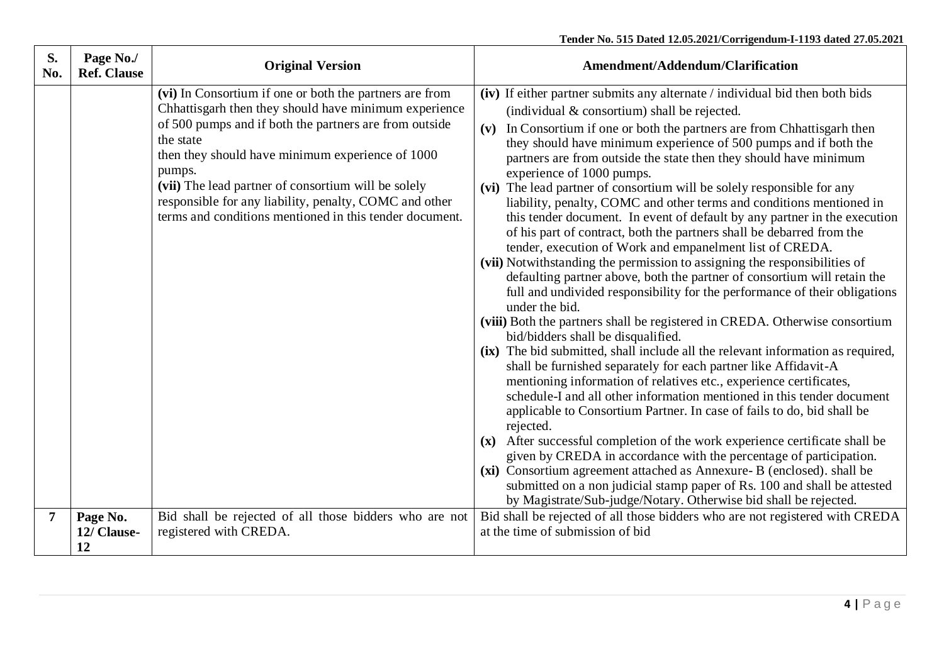| S.<br>No.      | Page No./<br><b>Ref. Clause</b> | <b>Original Version</b>                                                                                                                                                                                                                                                                                                                                                                                                           | Amendment/Addendum/Clarification                                                                                                                                                                                                                                                                                                                                                                                                                                                                                                                                                                                                                                                                                                                                                                                                                                                                                                                                                                                                                                                                                                                                                                                                                                                                                                                                                                                                                                                                                                                                                                                                                                                                                                                                                                                                                                                                                                |
|----------------|---------------------------------|-----------------------------------------------------------------------------------------------------------------------------------------------------------------------------------------------------------------------------------------------------------------------------------------------------------------------------------------------------------------------------------------------------------------------------------|---------------------------------------------------------------------------------------------------------------------------------------------------------------------------------------------------------------------------------------------------------------------------------------------------------------------------------------------------------------------------------------------------------------------------------------------------------------------------------------------------------------------------------------------------------------------------------------------------------------------------------------------------------------------------------------------------------------------------------------------------------------------------------------------------------------------------------------------------------------------------------------------------------------------------------------------------------------------------------------------------------------------------------------------------------------------------------------------------------------------------------------------------------------------------------------------------------------------------------------------------------------------------------------------------------------------------------------------------------------------------------------------------------------------------------------------------------------------------------------------------------------------------------------------------------------------------------------------------------------------------------------------------------------------------------------------------------------------------------------------------------------------------------------------------------------------------------------------------------------------------------------------------------------------------------|
|                |                                 | (vi) In Consortium if one or both the partners are from<br>Chhattisgarh then they should have minimum experience<br>of 500 pumps and if both the partners are from outside<br>the state<br>then they should have minimum experience of 1000<br>pumps.<br>(vii) The lead partner of consortium will be solely<br>responsible for any liability, penalty, COMC and other<br>terms and conditions mentioned in this tender document. | (iv) If either partner submits any alternate / individual bid then both bids<br>(individual $&$ consortium) shall be rejected.<br>In Consortium if one or both the partners are from Chhattisgarh then<br>(v)<br>they should have minimum experience of 500 pumps and if both the<br>partners are from outside the state then they should have minimum<br>experience of 1000 pumps.<br>(vi) The lead partner of consortium will be solely responsible for any<br>liability, penalty, COMC and other terms and conditions mentioned in<br>this tender document. In event of default by any partner in the execution<br>of his part of contract, both the partners shall be debarred from the<br>tender, execution of Work and empanelment list of CREDA.<br>(vii) Notwithstanding the permission to assigning the responsibilities of<br>defaulting partner above, both the partner of consortium will retain the<br>full and undivided responsibility for the performance of their obligations<br>under the bid.<br>(viii) Both the partners shall be registered in CREDA. Otherwise consortium<br>bid/bidders shall be disqualified.<br>(ix) The bid submitted, shall include all the relevant information as required,<br>shall be furnished separately for each partner like Affidavit-A<br>mentioning information of relatives etc., experience certificates,<br>schedule-I and all other information mentioned in this tender document<br>applicable to Consortium Partner. In case of fails to do, bid shall be<br>rejected.<br>After successful completion of the work experience certificate shall be<br>$(\mathbf{x})$<br>given by CREDA in accordance with the percentage of participation.<br>(xi) Consortium agreement attached as Annexure- B (enclosed). shall be<br>submitted on a non judicial stamp paper of Rs. 100 and shall be attested<br>by Magistrate/Sub-judge/Notary. Otherwise bid shall be rejected. |
| $\overline{7}$ | Page No.<br>12/ Clause-<br>12   | Bid shall be rejected of all those bidders who are not<br>registered with CREDA.                                                                                                                                                                                                                                                                                                                                                  | Bid shall be rejected of all those bidders who are not registered with CREDA<br>at the time of submission of bid                                                                                                                                                                                                                                                                                                                                                                                                                                                                                                                                                                                                                                                                                                                                                                                                                                                                                                                                                                                                                                                                                                                                                                                                                                                                                                                                                                                                                                                                                                                                                                                                                                                                                                                                                                                                                |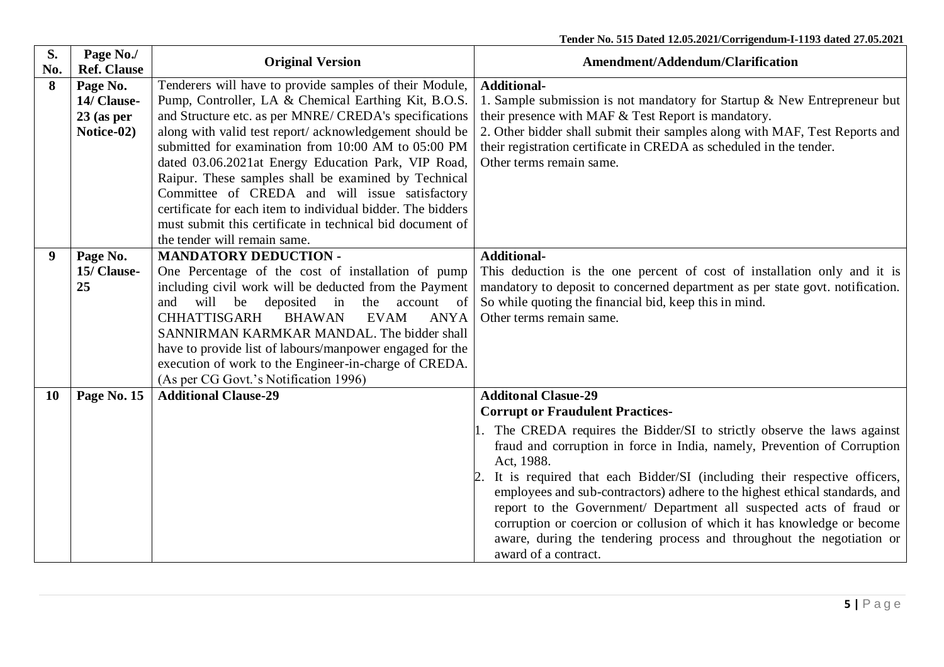| S.<br>No. | Page No./<br><b>Ref. Clause</b> | <b>Original Version</b>                                              | Amendment/Addendum/Clarification                                                       |
|-----------|---------------------------------|----------------------------------------------------------------------|----------------------------------------------------------------------------------------|
| 8         | Page No.                        | Tenderers will have to provide samples of their Module,              | <b>Additional-</b>                                                                     |
|           | 14/ Clause-                     | Pump, Controller, LA & Chemical Earthing Kit, B.O.S.                 | 1. Sample submission is not mandatory for Startup & New Entrepreneur but               |
|           | $23$ (as per                    | and Structure etc. as per MNRE/CREDA's specifications                | their presence with MAF & Test Report is mandatory.                                    |
|           | Notice-02)                      | along with valid test report/acknowledgement should be               | 2. Other bidder shall submit their samples along with MAF, Test Reports and            |
|           |                                 | submitted for examination from 10:00 AM to 05:00 PM                  | their registration certificate in CREDA as scheduled in the tender.                    |
|           |                                 | dated 03.06.2021at Energy Education Park, VIP Road,                  | Other terms remain same.                                                               |
|           |                                 | Raipur. These samples shall be examined by Technical                 |                                                                                        |
|           |                                 | Committee of CREDA and will issue satisfactory                       |                                                                                        |
|           |                                 | certificate for each item to individual bidder. The bidders          |                                                                                        |
|           |                                 | must submit this certificate in technical bid document of            |                                                                                        |
|           |                                 | the tender will remain same.                                         |                                                                                        |
| 9         | Page No.                        | <b>MANDATORY DEDUCTION -</b>                                         | <b>Additional-</b>                                                                     |
|           | 15/ Clause-                     | One Percentage of the cost of installation of pump                   | This deduction is the one percent of cost of installation only and it is               |
|           | 25                              | including civil work will be deducted from the Payment               | mandatory to deposit to concerned department as per state govt. notification.          |
|           |                                 | will be deposited in<br>the<br><sub>of</sub><br>account<br>and       | So while quoting the financial bid, keep this in mind.                                 |
|           |                                 | <b>CHHATTISGARH</b><br><b>BHAWAN</b><br><b>EVAM</b><br><b>ANYA</b>   | Other terms remain same.                                                               |
|           |                                 | SANNIRMAN KARMKAR MANDAL. The bidder shall                           |                                                                                        |
|           |                                 | have to provide list of labours/manpower engaged for the             |                                                                                        |
|           |                                 | execution of work to the Engineer-in-charge of CREDA.                |                                                                                        |
| 10        | Page No. 15                     | (As per CG Govt.'s Notification 1996)<br><b>Additional Clause-29</b> | <b>Additonal Clasue-29</b>                                                             |
|           |                                 |                                                                      | <b>Corrupt or Fraudulent Practices-</b>                                                |
|           |                                 |                                                                      |                                                                                        |
|           |                                 |                                                                      | 1. The CREDA requires the Bidder/SI to strictly observe the laws against               |
|           |                                 |                                                                      | fraud and corruption in force in India, namely, Prevention of Corruption<br>Act, 1988. |
|           |                                 |                                                                      | It is required that each Bidder/SI (including their respective officers,<br>2.         |
|           |                                 |                                                                      | employees and sub-contractors) adhere to the highest ethical standards, and            |
|           |                                 |                                                                      | report to the Government/ Department all suspected acts of fraud or                    |
|           |                                 |                                                                      | corruption or coercion or collusion of which it has knowledge or become                |
|           |                                 |                                                                      | aware, during the tendering process and throughout the negotiation or                  |
|           |                                 |                                                                      | award of a contract.                                                                   |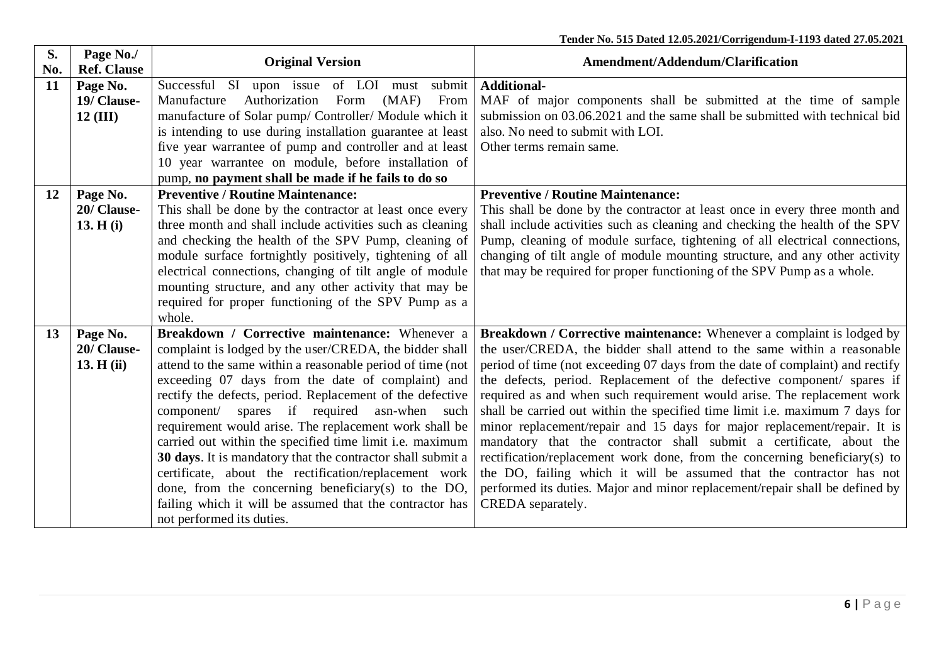| S.<br>No. | Page No./<br><b>Ref. Clause</b>       | <b>Original Version</b>                                                                                                                                                                                                                                                                                                                                                                                                                                                                                                                                                                                                                                                                                                                | Amendment/Addendum/Clarification                                                                                                                                                                                                                                                                                                                                                                                                                                                                                                                                                                                                                                                                                                                                                                                                                                                     |
|-----------|---------------------------------------|----------------------------------------------------------------------------------------------------------------------------------------------------------------------------------------------------------------------------------------------------------------------------------------------------------------------------------------------------------------------------------------------------------------------------------------------------------------------------------------------------------------------------------------------------------------------------------------------------------------------------------------------------------------------------------------------------------------------------------------|--------------------------------------------------------------------------------------------------------------------------------------------------------------------------------------------------------------------------------------------------------------------------------------------------------------------------------------------------------------------------------------------------------------------------------------------------------------------------------------------------------------------------------------------------------------------------------------------------------------------------------------------------------------------------------------------------------------------------------------------------------------------------------------------------------------------------------------------------------------------------------------|
| 11        | Page No.<br>19/ Clause-<br>$12$ (III) | Successful SI upon issue of LOI must submit<br>Manufacture<br>Authorization<br>Form<br>(MAF)<br>From<br>manufacture of Solar pump/ Controller/ Module which it                                                                                                                                                                                                                                                                                                                                                                                                                                                                                                                                                                         | <b>Additional-</b><br>MAF of major components shall be submitted at the time of sample<br>submission on 03.06.2021 and the same shall be submitted with technical bid                                                                                                                                                                                                                                                                                                                                                                                                                                                                                                                                                                                                                                                                                                                |
|           |                                       | is intending to use during installation guarantee at least<br>five year warrantee of pump and controller and at least                                                                                                                                                                                                                                                                                                                                                                                                                                                                                                                                                                                                                  | also. No need to submit with LOI.<br>Other terms remain same.                                                                                                                                                                                                                                                                                                                                                                                                                                                                                                                                                                                                                                                                                                                                                                                                                        |
|           |                                       | 10 year warrantee on module, before installation of<br>pump, no payment shall be made if he fails to do so                                                                                                                                                                                                                                                                                                                                                                                                                                                                                                                                                                                                                             |                                                                                                                                                                                                                                                                                                                                                                                                                                                                                                                                                                                                                                                                                                                                                                                                                                                                                      |
| 12        | Page No.<br>20/ Clause-<br>13. H(i)   | <b>Preventive / Routine Maintenance:</b><br>This shall be done by the contractor at least once every<br>three month and shall include activities such as cleaning<br>and checking the health of the SPV Pump, cleaning of                                                                                                                                                                                                                                                                                                                                                                                                                                                                                                              | <b>Preventive / Routine Maintenance:</b><br>This shall be done by the contractor at least once in every three month and<br>shall include activities such as cleaning and checking the health of the SPV<br>Pump, cleaning of module surface, tightening of all electrical connections,                                                                                                                                                                                                                                                                                                                                                                                                                                                                                                                                                                                               |
|           |                                       | module surface fortnightly positively, tightening of all<br>electrical connections, changing of tilt angle of module<br>mounting structure, and any other activity that may be<br>required for proper functioning of the SPV Pump as a<br>whole.                                                                                                                                                                                                                                                                                                                                                                                                                                                                                       | changing of tilt angle of module mounting structure, and any other activity<br>that may be required for proper functioning of the SPV Pump as a whole.                                                                                                                                                                                                                                                                                                                                                                                                                                                                                                                                                                                                                                                                                                                               |
| 13        | Page No.<br>20/ Clause-<br>13. H(ii)  | Breakdown / Corrective maintenance: Whenever a<br>complaint is lodged by the user/CREDA, the bidder shall<br>attend to the same within a reasonable period of time (not<br>exceeding 07 days from the date of complaint) and<br>rectify the defects, period. Replacement of the defective<br>component/ spares if required asn-when such<br>requirement would arise. The replacement work shall be<br>carried out within the specified time limit i.e. maximum<br>30 days. It is mandatory that the contractor shall submit a<br>certificate, about the rectification/replacement work<br>done, from the concerning beneficiary(s) to the DO,<br>failing which it will be assumed that the contractor has<br>not performed its duties. | Breakdown / Corrective maintenance: Whenever a complaint is lodged by<br>the user/CREDA, the bidder shall attend to the same within a reasonable<br>period of time (not exceeding 07 days from the date of complaint) and rectify<br>the defects, period. Replacement of the defective component/ spares if<br>required as and when such requirement would arise. The replacement work<br>shall be carried out within the specified time limit i.e. maximum 7 days for<br>minor replacement/repair and 15 days for major replacement/repair. It is<br>mandatory that the contractor shall submit a certificate, about the<br>rectification/replacement work done, from the concerning beneficiary(s) to<br>the DO, failing which it will be assumed that the contractor has not<br>performed its duties. Major and minor replacement/repair shall be defined by<br>CREDA separately. |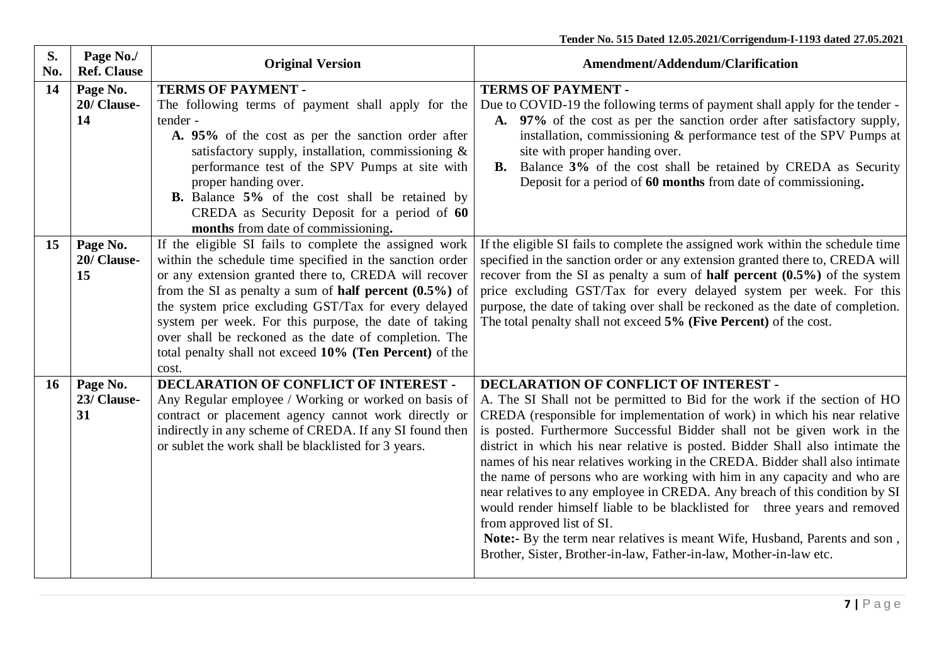| S.<br>No. | Page No./<br><b>Ref. Clause</b> | <b>Original Version</b>                                                                                                                                                                                                                                                                                                                                                                                                                                                                       | <b>Amendment/Addendum/Clarification</b>                                                                                                                                                                                                                                                                                                                                                                                                                                                                                                                                                                                                                                                                                                                                                                                                                              |
|-----------|---------------------------------|-----------------------------------------------------------------------------------------------------------------------------------------------------------------------------------------------------------------------------------------------------------------------------------------------------------------------------------------------------------------------------------------------------------------------------------------------------------------------------------------------|----------------------------------------------------------------------------------------------------------------------------------------------------------------------------------------------------------------------------------------------------------------------------------------------------------------------------------------------------------------------------------------------------------------------------------------------------------------------------------------------------------------------------------------------------------------------------------------------------------------------------------------------------------------------------------------------------------------------------------------------------------------------------------------------------------------------------------------------------------------------|
| 14        | Page No.<br>20/ Clause-<br>14   | <b>TERMS OF PAYMENT -</b><br>The following terms of payment shall apply for the<br>tender -<br>A. 95% of the cost as per the sanction order after<br>satisfactory supply, installation, commissioning $\&$<br>performance test of the SPV Pumps at site with<br>proper handing over.<br><b>B.</b> Balance 5% of the cost shall be retained by<br>CREDA as Security Deposit for a period of 60<br>months from date of commissioning.                                                           | <b>TERMS OF PAYMENT -</b><br>Due to COVID-19 the following terms of payment shall apply for the tender -<br>A. 97% of the cost as per the sanction order after satisfactory supply,<br>installation, commissioning & performance test of the SPV Pumps at<br>site with proper handing over.<br><b>B.</b> Balance 3% of the cost shall be retained by CREDA as Security<br>Deposit for a period of 60 months from date of commissioning.                                                                                                                                                                                                                                                                                                                                                                                                                              |
| 15        | Page No.<br>20/ Clause-<br>15   | If the eligible SI fails to complete the assigned work<br>within the schedule time specified in the sanction order<br>or any extension granted there to, CREDA will recover<br>from the SI as penalty a sum of <b>half percent</b> $(0.5\%)$ of<br>the system price excluding GST/Tax for every delayed<br>system per week. For this purpose, the date of taking<br>over shall be reckoned as the date of completion. The<br>total penalty shall not exceed 10% (Ten Percent) of the<br>cost. | If the eligible SI fails to complete the assigned work within the schedule time<br>specified in the sanction order or any extension granted there to, CREDA will<br>recover from the SI as penalty a sum of <b>half percent</b> $(0.5\%)$ of the system<br>price excluding GST/Tax for every delayed system per week. For this<br>purpose, the date of taking over shall be reckoned as the date of completion.<br>The total penalty shall not exceed 5% (Five Percent) of the cost.                                                                                                                                                                                                                                                                                                                                                                                 |
| <b>16</b> | Page No.<br>23/ Clause-<br>31   | <b>DECLARATION OF CONFLICT OF INTEREST -</b><br>Any Regular employee / Working or worked on basis of<br>contract or placement agency cannot work directly or<br>indirectly in any scheme of CREDA. If any SI found then<br>or sublet the work shall be blacklisted for 3 years.                                                                                                                                                                                                               | DECLARATION OF CONFLICT OF INTEREST -<br>A. The SI Shall not be permitted to Bid for the work if the section of HO<br>CREDA (responsible for implementation of work) in which his near relative<br>is posted. Furthermore Successful Bidder shall not be given work in the<br>district in which his near relative is posted. Bidder Shall also intimate the<br>names of his near relatives working in the CREDA. Bidder shall also intimate<br>the name of persons who are working with him in any capacity and who are<br>near relatives to any employee in CREDA. Any breach of this condition by SI<br>would render himself liable to be blacklisted for three years and removed<br>from approved list of SI.<br>Note:- By the term near relatives is meant Wife, Husband, Parents and son,<br>Brother, Sister, Brother-in-law, Father-in-law, Mother-in-law etc. |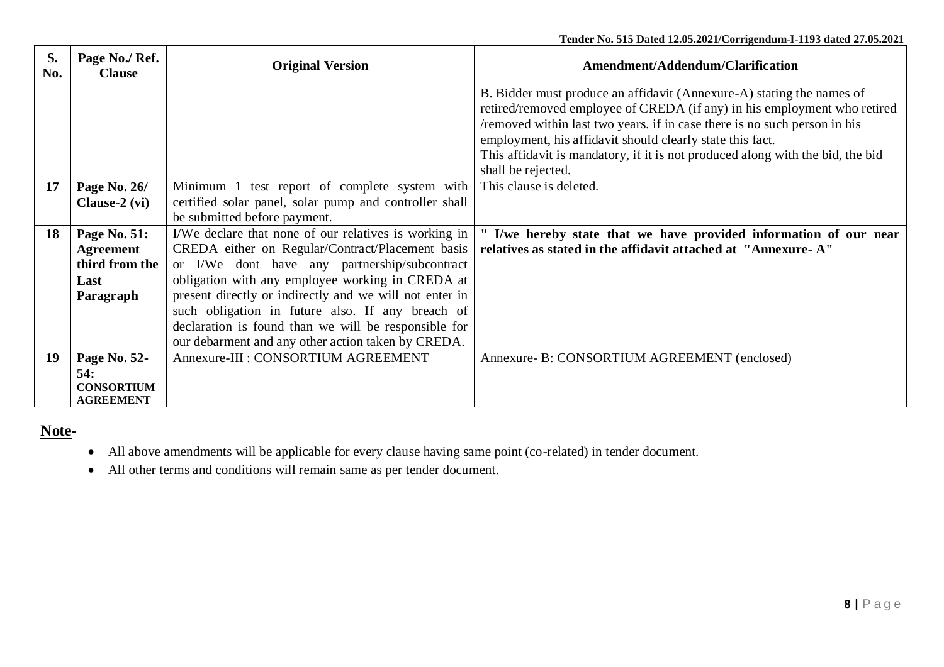| S.<br>No. | Page No./ Ref.<br><b>Clause</b>                                         | <b>Original Version</b>                                                                                                                                                                                                                                                                                                                                                                                                                     | Amendment/Addendum/Clarification                                                                                                                                                                                                                                                                                                                                                                    |
|-----------|-------------------------------------------------------------------------|---------------------------------------------------------------------------------------------------------------------------------------------------------------------------------------------------------------------------------------------------------------------------------------------------------------------------------------------------------------------------------------------------------------------------------------------|-----------------------------------------------------------------------------------------------------------------------------------------------------------------------------------------------------------------------------------------------------------------------------------------------------------------------------------------------------------------------------------------------------|
|           |                                                                         |                                                                                                                                                                                                                                                                                                                                                                                                                                             | B. Bidder must produce an affidavit (Annexure-A) stating the names of<br>retired/removed employee of CREDA (if any) in his employment who retired<br>/removed within last two years. if in case there is no such person in his<br>employment, his affidavit should clearly state this fact.<br>This affidavit is mandatory, if it is not produced along with the bid, the bid<br>shall be rejected. |
| 17        | Page No. 26/<br>Clause- $2$ (vi)                                        | Minimum 1 test report of complete system with<br>certified solar panel, solar pump and controller shall<br>be submitted before payment.                                                                                                                                                                                                                                                                                                     | This clause is deleted.                                                                                                                                                                                                                                                                                                                                                                             |
| 18        | Page No. 51:<br><b>Agreement</b><br>third from the<br>Last<br>Paragraph | I/We declare that none of our relatives is working in<br>CREDA either on Regular/Contract/Placement basis<br>or I/We dont have any partnership/subcontract<br>obligation with any employee working in CREDA at<br>present directly or indirectly and we will not enter in<br>such obligation in future also. If any breach of<br>declaration is found than we will be responsible for<br>our debarment and any other action taken by CREDA. | I/we hereby state that we have provided information of our near<br>relatives as stated in the affidavit attached at "Annexure-A"                                                                                                                                                                                                                                                                    |
| 19        | Page No. 52-<br>54:<br><b>CONSORTIUM</b><br><b>AGREEMENT</b>            | Annexure-III : CONSORTIUM AGREEMENT                                                                                                                                                                                                                                                                                                                                                                                                         | Annexure- B: CONSORTIUM AGREEMENT (enclosed)                                                                                                                                                                                                                                                                                                                                                        |

# **Note-**

- All above amendments will be applicable for every clause having same point (co-related) in tender document.
- All other terms and conditions will remain same as per tender document.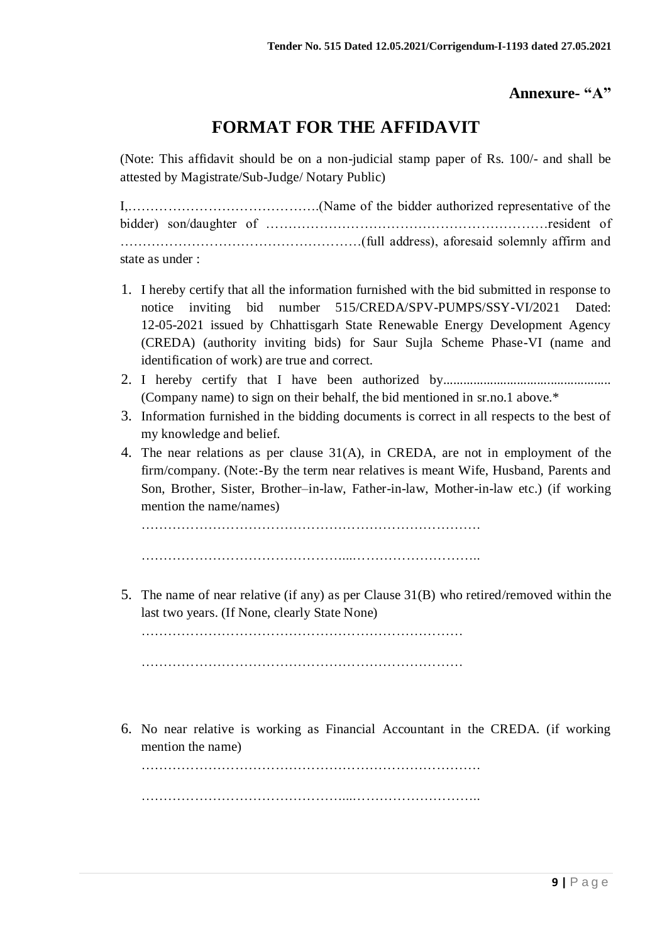## **Annexure- "A"**

# **FORMAT FOR THE AFFIDAVIT**

(Note: This affidavit should be on a non-judicial stamp paper of Rs. 100/- and shall be attested by Magistrate/Sub-Judge/ Notary Public)

I,…………………………………….(Name of the bidder authorized representative of the bidder) son/daughter of ………………………………………………………resident of ………………………………………………(full address), aforesaid solemnly affirm and state as under :

- 1. I hereby certify that all the information furnished with the bid submitted in response to notice inviting bid number 515/CREDA/SPV-PUMPS/SSY-VI/2021 Dated: 12-05-2021 issued by Chhattisgarh State Renewable Energy Development Agency (CREDA) (authority inviting bids) for Saur Sujla Scheme Phase-VI (name and identification of work) are true and correct.
- 2. I hereby certify that I have been authorized by.................................................. (Company name) to sign on their behalf, the bid mentioned in sr.no.1 above.\*
- 3. Information furnished in the bidding documents is correct in all respects to the best of my knowledge and belief.
- 4. The near relations as per clause 31(A), in CREDA, are not in employment of the firm/company. (Note:-By the term near relatives is meant Wife, Husband, Parents and Son, Brother, Sister, Brother–in-law, Father-in-law, Mother-in-law etc.) (if working mention the name/names)

…………………………………………………………………. ………………………………………...………………………..

5. The name of near relative (if any) as per Clause 31(B) who retired/removed within the last two years. (If None, clearly State None)

……………………………………………………………… ………………………………………………………………

6. No near relative is working as Financial Accountant in the CREDA. (if working mention the name)

………………………………………………………………….

………………………………………...………………………..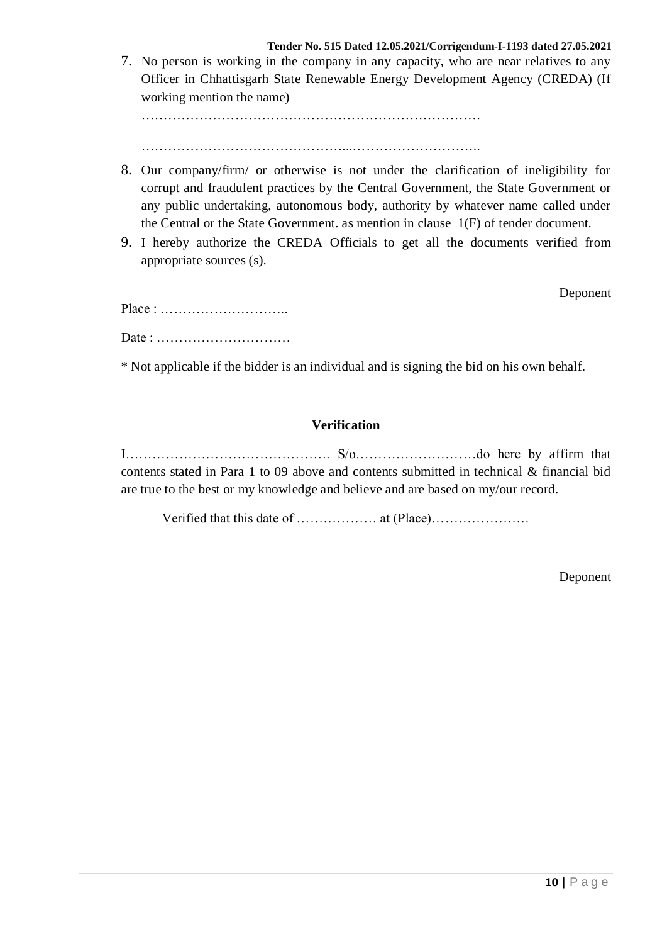7. No person is working in the company in any capacity, who are near relatives to any Officer in Chhattisgarh State Renewable Energy Development Agency (CREDA) (If working mention the name)

………………………………………………………………….

………………………………………...………………………..

- 8. Our company/firm/ or otherwise is not under the clarification of ineligibility for corrupt and fraudulent practices by the Central Government, the State Government or any public undertaking, autonomous body, authority by whatever name called under the Central or the State Government. as mention in clause 1(F) of tender document.
- 9. I hereby authorize the CREDA Officials to get all the documents verified from appropriate sources (s).

Deponent

Place : ……………………….. Date : …………………………

\* Not applicable if the bidder is an individual and is signing the bid on his own behalf.

## **Verification**

I………………………………………. S/o………………………do here by affirm that contents stated in Para 1 to 09 above and contents submitted in technical & financial bid are true to the best or my knowledge and believe and are based on my/our record.

Verified that this date of ……………… at (Place)………………….

Deponent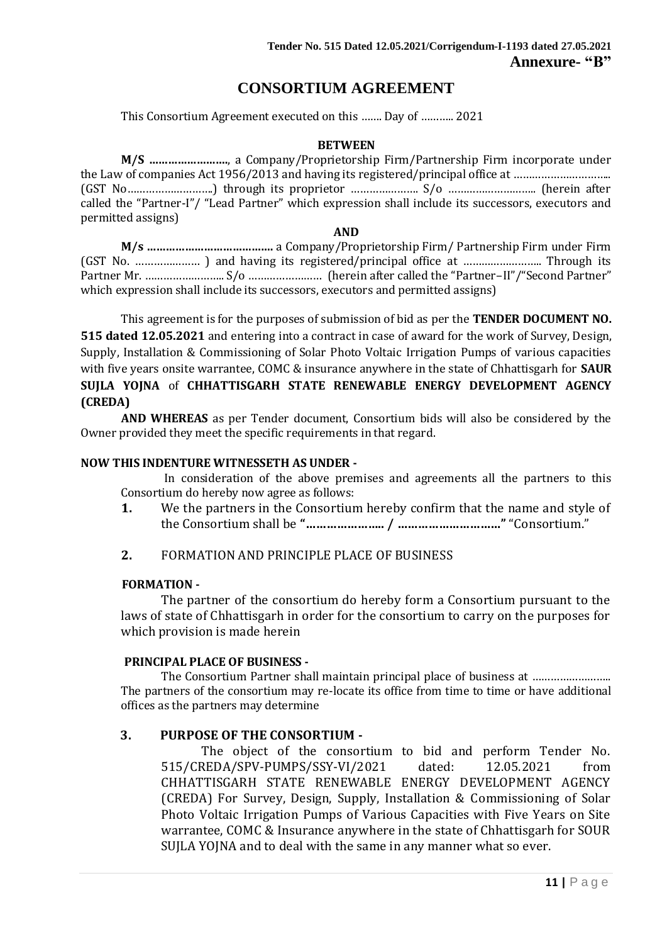## **CONSORTIUM AGREEMENT**

This Consortium Agreement executed on this ……. Day of ……….. 2021

#### **BETWEEN**

**M/S …………………….**, a Company/Proprietorship Firm/Partnership Firm incorporate under the Law of companies Act 1956/2013 and having its registered/principal office at ............................. (GST No……………………….) through its proprietor …………………. S/o ……………………….. (herein after called the "Partner-I"/ "Lead Partner" which expression shall include its successors, executors and permitted assigns)

#### **AND**

**M/s ………………………………….** a Company/Proprietorship Firm/ Partnership Firm under Firm (GST No. ………………… ) and having its registered/principal office at …………………….. Through its Partner Mr. …………………….. S/o …………………… (herein after called the "Partner–II"/"Second Partner" which expression shall include its successors, executors and permitted assigns)

This agreement is for the purposes of submission of bid as per the **TENDER DOCUMENT NO. 515 dated 12.05.2021** and entering into a contract in case of award for the work of Survey, Design, Supply, Installation & Commissioning of Solar Photo Voltaic Irrigation Pumps of various capacities with five years onsite warrantee, COMC & insurance anywhere in the state of Chhattisgarh for **SAUR SUJLA YOJNA** of **CHHATTISGARH STATE RENEWABLE ENERGY DEVELOPMENT AGENCY (CREDA)**

**AND WHEREAS** as per Tender document, Consortium bids will also be considered by the Owner provided they meet the specific requirements in that regard.

#### **NOW THIS INDENTURE WITNESSETH AS UNDER -**

In consideration of the above premises and agreements all the partners to this Consortium do hereby now agree as follows:

**1.** We the partners in the Consortium hereby confirm that the name and style of the Consortium shall be **"………………….. / …………………………"** "Consortium."

#### **2.** FORMATION AND PRINCIPLE PLACE OF BUSINESS

#### **FORMATION -**

The partner of the consortium do hereby form a Consortium pursuant to the laws of state of Chhattisgarh in order for the consortium to carry on the purposes for which provision is made herein

#### **PRINCIPAL PLACE OF BUSINESS -**

The Consortium Partner shall maintain principal place of business at …………………….. The partners of the consortium may re-locate its office from time to time or have additional offices as the partners may determine

#### **3. PURPOSE OF THE CONSORTIUM -**

The object of the consortium to bid and perform Tender No. 515/CREDA/SPV-PUMPS/SSY-VI/2021 dated: 12.05.2021 from CHHATTISGARH STATE RENEWABLE ENERGY DEVELOPMENT AGENCY (CREDA) For Survey, Design, Supply, Installation & Commissioning of Solar Photo Voltaic Irrigation Pumps of Various Capacities with Five Years on Site warrantee, COMC & Insurance anywhere in the state of Chhattisgarh for SOUR SUJLA YOJNA and to deal with the same in any manner what so ever.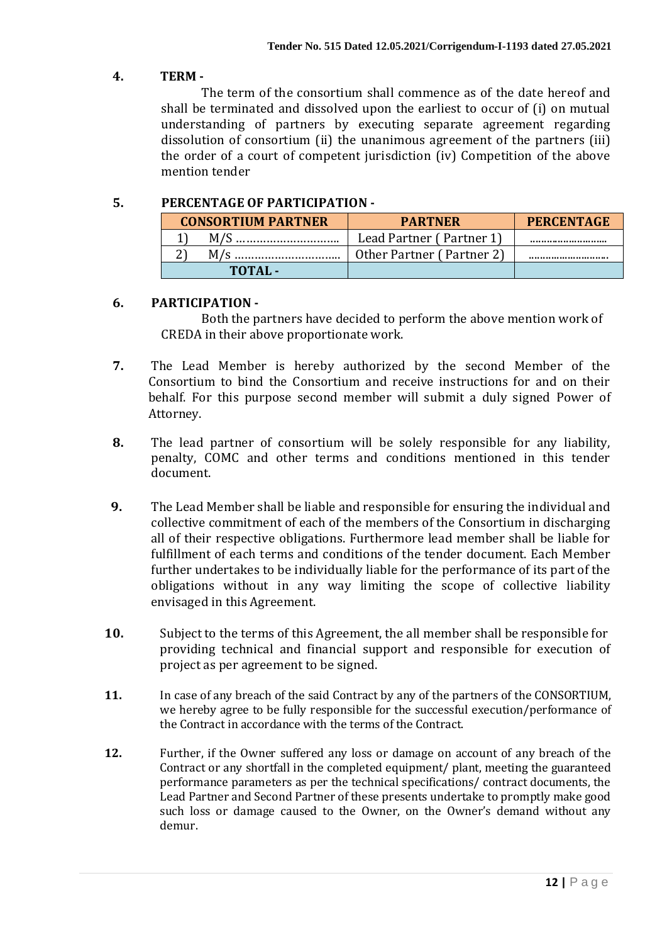## **4. TERM -**

The term of the consortium shall commence as of the date hereof and shall be terminated and dissolved upon the earliest to occur of (i) on mutual understanding of partners by executing separate agreement regarding dissolution of consortium (ii) the unanimous agreement of the partners (iii) the order of a court of competent jurisdiction (iv) Competition of the above mention tender

## **5. PERCENTAGE OF PARTICIPATION -**

| <b>CONSORTIUM PARTNER</b> | <b>PARTNER</b>            | <b>PERCENTAGE</b> |
|---------------------------|---------------------------|-------------------|
|                           | Lead Partner (Partner 1)  |                   |
|                           | Other Partner (Partner 2) |                   |
| TOTAL-                    |                           |                   |

## **6. PARTICIPATION -**

Both the partners have decided to perform the above mention work of CREDA in their above proportionate work.

- **7.** The Lead Member is hereby authorized by the second Member of the Consortium to bind the Consortium and receive instructions for and on their behalf. For this purpose second member will submit a duly signed Power of Attorney.
- **8.** The lead partner of consortium will be solely responsible for any liability, penalty, COMC and other terms and conditions mentioned in this tender document.
- **9.** The Lead Member shall be liable and responsible for ensuring the individual and collective commitment of each of the members of the Consortium in discharging all of their respective obligations. Furthermore lead member shall be liable for fulfillment of each terms and conditions of the tender document. Each Member further undertakes to be individually liable for the performance of its part of the obligations without in any way limiting the scope of collective liability envisaged in this Agreement.
- **10.** Subject to the terms of this Agreement, the all member shall be responsible for providing technical and financial support and responsible for execution of project as per agreement to be signed.
- **11.** In case of any breach of the said Contract by any of the partners of the CONSORTIUM, we hereby agree to be fully responsible for the successful execution/performance of the Contract in accordance with the terms of the Contract.
- **12.** Further, if the Owner suffered any loss or damage on account of any breach of the Contract or any shortfall in the completed equipment/ plant, meeting the guaranteed performance parameters as per the technical specifications/ contract documents, the Lead Partner and Second Partner of these presents undertake to promptly make good such loss or damage caused to the Owner, on the Owner's demand without any demur.